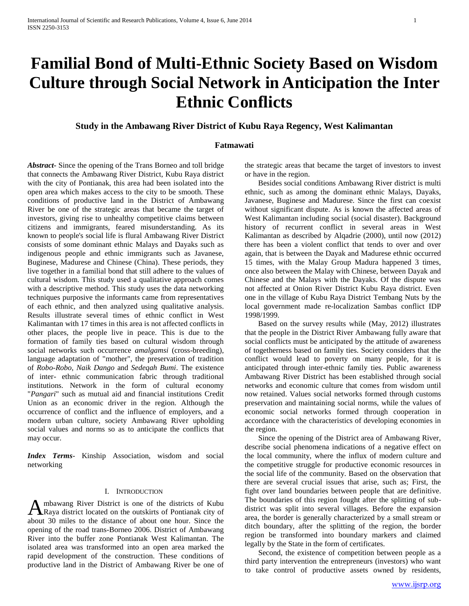# **Familial Bond of Multi-Ethnic Society Based on Wisdom Culture through Social Network in Anticipation the Inter Ethnic Conflicts**

# **Study in the Ambawang River District of Kubu Raya Regency, West Kalimantan**

# **Fatmawati**

*Abstract***-** Since the opening of the Trans Borneo and toll bridge that connects the Ambawang River District, Kubu Raya district with the city of Pontianak, this area had been isolated into the open area which makes access to the city to be smooth. These conditions of productive land in the District of Ambawang River be one of the strategic areas that became the target of investors, giving rise to unhealthy competitive claims between citizens and immigrants, feared misunderstanding. As its known to people's social life is flural Ambawang River District consists of some dominant ethnic Malays and Dayaks such as indigenous people and ethnic immigrants such as Javanese, Buginese, Madurese and Chinese (China). These periods, they live together in a familial bond that still adhere to the values of cultural wisdom. This study used a qualitative approach comes with a descriptive method. This study uses the data networking techniques purposive the informants came from representatives of each ethnic, and then analyzed using qualitative analysis. Results illustrate several times of ethnic conflict in West Kalimantan with 17 times in this area is not affected conflicts in other places, the people live in peace. This is due to the formation of family ties based on cultural wisdom through social networks such occurrence *amalgamsi* (cross-breeding), language adaptation of "mother", the preservation of tradition of *Robo-Robo*, *Naik Dango* and *Sedeqah Bumi*. The existence of inter- ethnic communication fabric through traditional institutions. Network in the form of cultural economy "*Pangari*" such as mutual aid and financial institutions Credit Union as an economic driver in the region. Although the occurrence of conflict and the influence of employers, and a modern urban culture, society Ambawang River upholding social values and norms so as to anticipate the conflicts that may occur.

*Index Terms*- Kinship Association, wisdom and social networking

# I. INTRODUCTION

mbawang River District is one of the districts of Kubu A mbawang River District is one of the districts of Kubu<br>Raya district located on the outskirts of Pontianak city of about 30 miles to the distance of about one hour. Since the opening of the road trans-Borneo 2006. District of Ambawang River into the buffer zone Pontianak West Kalimantan. The isolated area was transformed into an open area marked the rapid development of the construction. These conditions of productive land in the District of Ambawang River be one of

the strategic areas that became the target of investors to invest or have in the region.

 Besides social conditions Ambawang River district is multi ethnic, such as among the dominant ethnic Malays, Dayaks, Javanese, Buginese and Madurese. Since the first can coexist without significant dispute. As is known the affected areas of West Kalimantan including social (social disaster). Background history of recurrent conflict in several areas in West Kalimantan as described by Alqadrie (2000), until now (2012) there has been a violent conflict that tends to over and over again, that is between the Dayak and Madurese ethnic occurred 15 times, with the Malay Group Madura happened 3 times, once also between the Malay with Chinese, between Dayak and Chinese and the Malays with the Dayaks. Of the dispute was not affected at Onion River District Kubu Raya district. Even one in the village of Kubu Raya District Tembang Nuts by the local government made re-localization Sambas conflict IDP 1998/1999.

 Based on the survey results while (May, 2012) illustrates that the people in the District River Ambawang fully aware that social conflicts must be anticipated by the attitude of awareness of togetherness based on family ties. Society considers that the conflict would lead to poverty on many people, for it is anticipated through inter-ethnic family ties. Public awareness Ambawang River District has been established through social networks and economic culture that comes from wisdom until now retained. Values social networks formed through customs preservation and maintaining social norms, while the values of economic social networks formed through cooperation in accordance with the characteristics of developing economies in the region.

 Since the opening of the District area of Ambawang River, describe social phenomena indications of a negative effect on the local community, where the influx of modern culture and the competitive struggle for productive economic resources in the social life of the community. Based on the observation that there are several crucial issues that arise, such as; First, the fight over land boundaries between people that are definitive. The boundaries of this region fought after the splitting of subdistrict was split into several villages. Before the expansion area, the border is generally characterized by a small stream or ditch boundary, after the splitting of the region, the border region be transformed into boundary markers and claimed legally by the State in the form of certificates.

 Second, the existence of competition between people as a third party intervention the entrepreneurs (investors) who want to take control of productive assets owned by residents,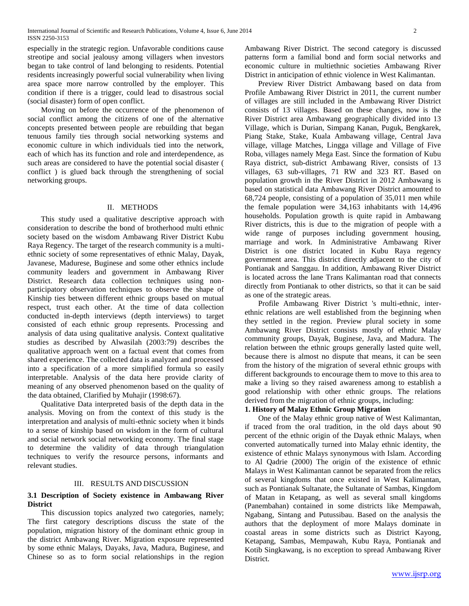especially in the strategic region. Unfavorable conditions cause streotipe and social jealousy among villagers when investors began to take control of land belonging to residents. Potential residents increasingly powerful social vulnerability when living area space more narrow controlled by the employer. This condition if there is a trigger, could lead to disastrous social (social disaster) form of open conflict.

 Moving on before the occurrence of the phenomenon of social conflict among the citizens of one of the alternative concepts presented between people are rebuilding that began tenuous family ties through social networking systems and economic culture in which individuals tied into the network, each of which has its function and role and interdependence, as such areas are considered to have the potential social disaster ( conflict ) is glued back through the strengthening of social networking groups.

#### II. METHODS

 This study used a qualitative descriptive approach with consideration to describe the bond of brotherhood multi ethnic society based on the wisdom Ambawang River District Kubu Raya Regency. The target of the research community is a multiethnic society of some representatives of ethnic Malay, Dayak, Javanese, Madurese, Buginese and some other ethnics include community leaders and government in Ambawang River District. Research data collection techniques using nonparticipatory observation techniques to observe the shape of Kinship ties between different ethnic groups based on mutual respect, trust each other. At the time of data collection conducted in-depth interviews (depth interviews) to target consisted of each ethnic group represents. Processing and analysis of data using qualitative analysis. Context qualitative studies as described by Alwasilah (2003:79) describes the qualitative approach went on a factual event that comes from shared experience. The collected data is analyzed and processed into a specification of a more simplified formula so easily interpretable. Analysis of the data here provide clarity of meaning of any observed phenomenon based on the quality of the data obtained, Clarified by Muhajir (1998:67).

 Qualitative Data interpreted basis of the depth data in the analysis. Moving on from the context of this study is the interpretation and analysis of multi-ethnic society when it binds to a sense of kinship based on wisdom in the form of cultural and social network social networking economy. The final stage to determine the validity of data through triangulation techniques to verify the resource persons, informants and relevant studies.

#### III. RESULTS AND DISCUSSION

## **3.1 Description of Society existence in Ambawang River District**

 This discussion topics analyzed two categories, namely; The first category descriptions discuss the state of the population, migration history of the dominant ethnic group in the district Ambawang River. Migration exposure represented by some ethnic Malays, Dayaks, Java, Madura, Buginese, and Chinese so as to form social relationships in the region

Ambawang River District. The second category is discussed patterns form a familial bond and form social networks and economic culture in multiethnic societies Ambawang River District in anticipation of ethnic violence in West Kalimantan.

 Preview River District Ambawang based on data from Profile Ambawang River District in 2011, the current number of villages are still included in the Ambawang River District consists of 13 villages. Based on these changes, now is the River District area Ambawang geographically divided into 13 Village, which is Durian, Simpang Kanan, Puguk, Bengkarek, Piang Stake, Stake, Kuala Ambawang village, Central Java village, village Matches, Lingga village and Village of Five Roba, villages namely Mega East. Since the formation of Kubu Raya district, sub-district Ambawang River, consists of 13 villages, 63 sub-villages, 71 RW and 323 RT. Based on population growth in the River District in 2012 Ambawang is based on statistical data Ambawang River District amounted to 68,724 people, consisting of a population of 35,011 men while the female population were 34,163 inhabitants with 14,496 households. Population growth is quite rapid in Ambawang River districts, this is due to the migration of people with a wide range of purposes including government housing, marriage and work. In Administrative Ambawang River District is one district located in Kubu Raya regency government area. This district directly adjacent to the city of Pontianak and Sanggau. In addition, Ambawang River District is located across the lane Trans Kalimantan road that connects directly from Pontianak to other districts, so that it can be said as one of the strategic areas.

 Profile Ambawang River District 's multi-ethnic, interethnic relations are well established from the beginning when they settled in the region. Preview plural society in some Ambawang River District consists mostly of ethnic Malay community groups, Dayak, Buginese, Java, and Madura. The relation between the ethnic groups generally lasted quite well, because there is almost no dispute that means, it can be seen from the history of the migration of several ethnic groups with different backgrounds to encourage them to move to this area to make a living so they raised awareness among to establish a good relationship with other ethnic groups. The relations derived from the migration of ethnic groups, including:

# **1. History of Malay Ethnic Group Migration**

 One of the Malay ethnic group native of West Kalimantan, if traced from the oral tradition, in the old days about 90 percent of the ethnic origin of the Dayak ethnic Malays, when converted automatically turned into Malay ethnic identity, the existence of ethnic Malays synonymous with Islam. According to Al Qadrie (2000) The origin of the existence of ethnic Malays in West Kalimantan cannot be separated from the relics of several kingdoms that once existed in West Kalimantan, such as Pontianak Sultanate, the Sultanate of Sambas, Kingdom of Matan in Ketapang, as well as several small kingdoms (Panembahan) contained in some districts like Mempawah, Ngabang, Sintang and Putussibau. Based on the analysis the authors that the deployment of more Malays dominate in coastal areas in some districts such as District Kayong, Ketapang, Sambas, Mempawah, Kubu Raya, Pontianak and Kotib Singkawang, is no exception to spread Ambawang River District.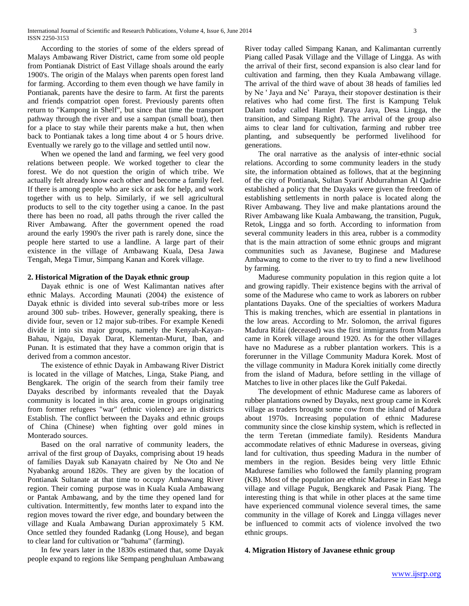According to the stories of some of the elders spread of Malays Ambawang River District, came from some old people from Pontianak District of East Village shoals around the early 1900's. The origin of the Malays when parents open forest land for farming. According to them even though we have family in Pontianak, parents have the desire to farm. At first the parents and friends compatriot open forest. Previously parents often return to "Kampong in Shelf", but since that time the transport pathway through the river and use a sampan (small boat), then for a place to stay while their parents make a hut, then when back to Pontianak takes a long time about 4 or 5 hours drive. Eventually we rarely go to the village and settled until now.

 When we opened the land and farming, we feel very good relations between people. We worked together to clear the forest. We do not question the origin of which tribe. We actually felt already know each other and become a family feel. If there is among people who are sick or ask for help, and work together with us to help. Similarly, if we sell agricultural products to sell to the city together using a canoe. In the past there has been no road, all paths through the river called the River Ambawang. After the government opened the road around the early 1990's the river path is rarely done, since the people here started to use a landline. A large part of their existence in the village of Ambawang Kuala, Desa Jawa Tengah, Mega Timur, Simpang Kanan and Korek village.

# **2. Historical Migration of the Dayak ethnic group**

 Dayak ethnic is one of West Kalimantan natives after ethnic Malays. According Maunati (2004) the existence of Dayak ethnic is divided into several sub-tribes more or less around 300 sub- tribes. However, generally speaking, there is divide four, seven or 12 major sub-tribes. For example Kenedi divide it into six major groups, namely the Kenyah-Kayan-Bahau, Ngaju, Dayak Darat, Klementan-Murut, Iban, and Punan. It is estimated that they have a common origin that is derived from a common ancestor.

 The existence of ethnic Dayak in Ambawang River District is located in the village of Matches, Linga, Stake Piang, and Bengkarek. The origin of the search from their family tree Dayaks described by informants revealed that the Dayak community is located in this area, come in groups originating from former refugees "war" (ethnic violence) are in districts Establish. The conflict between the Dayaks and ethnic groups of China (Chinese) when fighting over gold mines in Monterado sources.

 Based on the oral narrative of community leaders, the arrival of the first group of Dayaks, comprising about 19 heads of families Dayak sub Kanayatn chaired by Ne Oto and Ne Nyabankg around 1820s. They are given by the location of Pontianak Sultanate at that time to occupy Ambawang River region. Their coming purpose was in Kuala Kuala Ambawang or Pantak Ambawang, and by the time they opened land for cultivation. Intermittently, few months later to expand into the region moves toward the river edge, and boundary between the village and Kuala Ambawang Durian approximately 5 KM. Once settled they founded Radankg (Long House), and began to clear land for cultivation or "bahuma" (farming).

 In few years later in the 1830s estimated that, some Dayak people expand to regions like Sempang penghuluan Ambawang River today called Simpang Kanan, and Kalimantan currently Piang called Pasak Village and the Village of Lingga. As with the arrival of their first, second expansion is also clear land for cultivation and farming, then they Kuala Ambawang village. The arrival of the third wave of about 38 heads of families led by Ne ' Jaya and Ne' Paraya, their stopover destination is their relatives who had come first. The first is Kampung Teluk Dalam today called Hamlet Paraya Jaya, Desa Lingga, the transition, and Simpang Right). The arrival of the group also aims to clear land for cultivation, farming and rubber tree planting, and subsequently be performed livelihood for generations.

 The oral narrative as the analysis of inter-ethnic social relations. According to some community leaders in the study site, the information obtained as follows, that at the beginning of the city of Pontianak, Sultan Syarif Abdurrahman Al Qadrie established a policy that the Dayaks were given the freedom of establishing settlements in north palace is located along the River Ambawang. They live and make plantations around the River Ambawang like Kuala Ambawang, the transition, Puguk, Retok, Lingga and so forth. According to information from several community leaders in this area, rubber is a commodity that is the main attraction of some ethnic groups and migrant communities such as Javanese, Buginese and Madurese Ambawang to come to the river to try to find a new livelihood by farming.

 Madurese community population in this region quite a lot and growing rapidly. Their existence begins with the arrival of some of the Madurese who came to work as laborers on rubber plantations Dayaks. One of the specialties of workers Madura This is making trenches, which are essential in plantations in the low areas. According to Mr. Solomon, the arrival figures Madura Rifai (deceased) was the first immigrants from Madura came in Korek village around 1920. As for the other villages have no Madurese as a rubber plantation workers. This is a forerunner in the Village Community Madura Korek. Most of the village community in Madura Korek initially come directly from the island of Madura, before settling in the village of Matches to live in other places like the Gulf Pakedai.

 The development of ethnic Madurese came as laborers of rubber plantations owned by Dayaks, next group came in Korek village as traders brought some cow from the island of Madura about 1970s. Increasing population of ethnic Madurese community since the close kinship system, which is reflected in the term Teretan (immediate family). Residents Mandura accommodate relatives of ethnic Madurese in overseas, giving land for cultivation, thus speeding Madura in the number of members in the region. Besides being very little Ethnic Madurese families who followed the family planning program (KB). Most of the population are ethnic Madurese in East Mega village and village Puguk, Bengkarek and Pasak Piang. The interesting thing is that while in other places at the same time have experienced communal violence several times, the same community in the village of Korek and Lingga villages never be influenced to commit acts of violence involved the two ethnic groups.

#### **4. Migration History of Javanese ethnic group**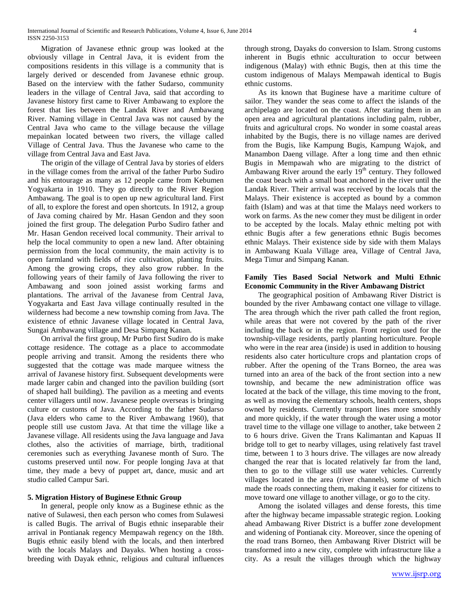Migration of Javanese ethnic group was looked at the obviously village in Central Java, it is evident from the compositions residents in this village is a community that is largely derived or descended from Javanese ethnic group. Based on the interview with the father Sudarso, community leaders in the village of Central Java, said that according to Javanese history first came to River Ambawang to explore the forest that lies between the Landak River and Ambawang River. Naming village in Central Java was not caused by the Central Java who came to the village because the village mepainkan located between two rivers, the village called Village of Central Java. Thus the Javanese who came to the village from Central Java and East Java.

 The origin of the village of Central Java by stories of elders in the village comes from the arrival of the father Purbo Sudiro and his entourage as many as 12 people came from Kebumen Yogyakarta in 1910. They go directly to the River Region Ambawang. The goal is to open up new agricultural land. First of all, to explore the forest and open shortcuts. In 1912, a group of Java coming chaired by Mr. Hasan Gendon and they soon joined the first group. The delegation Purbo Sudiro father and Mr. Hasan Gendon received local community. Their arrival to help the local community to open a new land. After obtaining permission from the local community, the main activity is to open farmland with fields of rice cultivation, planting fruits. Among the growing crops, they also grow rubber. In the following years of their family of Java following the river to Ambawang and soon joined assist working farms and plantations. The arrival of the Javanese from Central Java, Yogyakarta and East Java village continually resulted in the wilderness had become a new township coming from Java. The existence of ethnic Javanese village located in Central Java, Sungai Ambawang village and Desa Simpang Kanan.

 On arrival the first group, Mr Purbo first Sudiro do is make cottage residence. The cottage as a place to accommodate people arriving and transit. Among the residents there who suggested that the cottage was made marquee witness the arrival of Javanese history first. Subsequent developments were made larger cabin and changed into the pavilion building (sort of shaped hall building). The pavilion as a meeting and events center villagers until now. Javanese people overseas is bringing culture or customs of Java. According to the father Sudarso (Java elders who came to the River Ambawang 1960), that people still use custom Java. At that time the village like a Javanese village. All residents using the Java language and Java clothes, also the activities of marriage, birth, traditional ceremonies such as everything Javanese month of Suro. The customs preserved until now. For people longing Java at that time, they made a bevy of puppet art, dance, music and art studio called Campur Sari.

# **5. Migration History of Buginese Ethnic Group**

 In general, people only know as a Buginese ethnic as the native of Sulawesi, then each person who comes from Sulawesi is called Bugis. The arrival of Bugis ethnic inseparable their arrival in Pontianak regency Mempawah regency on the 18th. Bugis ethnic easily blend with the locals, and then interbred with the locals Malays and Dayaks. When hosting a crossbreeding with Dayak ethnic, religious and cultural influences

through strong, Dayaks do conversion to Islam. Strong customs inherent in Bugis ethnic acculturation to occur between indigenous (Malay) with ethnic Bugis, then at this time the custom indigenous of Malays Mempawah identical to Bugis ethnic customs.

 As its known that Buginese have a maritime culture of sailor. They wander the seas come to affect the islands of the archipelago are located on the coast. After staring them in an open area and agricultural plantations including palm, rubber, fruits and agricultural crops. No wonder in some coastal areas inhabited by the Bugis, there is no village names are derived from the Bugis, like Kampung Bugis, Kampung Wajok, and Manambon Daeng village. After a long time and then ethnic Bugis in Mempawah who are migrating to the district of Ambawang River around the early  $19<sup>th</sup>$  century. They followed the coast beach with a small boat anchored in the river until the Landak River. Their arrival was received by the locals that the Malays. Their existence is accepted as bound by a common faith (Islam) and was at that time the Malays need workers to work on farms. As the new comer they must be diligent in order to be accepted by the locals. Malay ethnic melting pot with ethnic Bugis after a few generations ethnic Bugis becomes ethnic Malays. Their existence side by side with them Malays in Ambawang Kuala Village area, Village of Central Java, Mega Timur and Simpang Kanan.

# **Family Ties Based Social Network and Multi Ethnic Economic Community in the River Ambawang District**

 The geographical position of Ambawang River District is bounded by the river Ambawang contact one village to village. The area through which the river path called the front region, while areas that were not covered by the path of the river including the back or in the region. Front region used for the township-village residents, partly planting horticulture. People who were in the rear area (inside) is used in addition to housing residents also cater horticulture crops and plantation crops of rubber. After the opening of the Trans Borneo, the area was turned into an area of the back of the front section into a new township, and became the new administration office was located at the back of the village, this time moving to the front, as well as moving the elementary schools, health centers, shops owned by residents. Currently transport lines more smoothly and more quickly, if the water through the water using a motor travel time to the village one village to another, take between 2 to 6 hours drive. Given the Trans Kalimantan and Kapuas II bridge toll to get to nearby villages, using relatively fast travel time, between 1 to 3 hours drive. The villages are now already changed the rear that is located relatively far from the land, then to go to the village still use water vehicles. Currently villages located in the area (river channels), some of which made the roads connecting them, making it easier for citizens to move toward one village to another village, or go to the city.

 Among the isolated villages and dense forests, this time after the highway became impassable strategic region. Looking ahead Ambawang River District is a buffer zone development and widening of Pontianak city. Moreover, since the opening of the road trans Borneo, then Ambawang River District will be transformed into a new city, complete with infrastructure like a city. As a result the villages through which the highway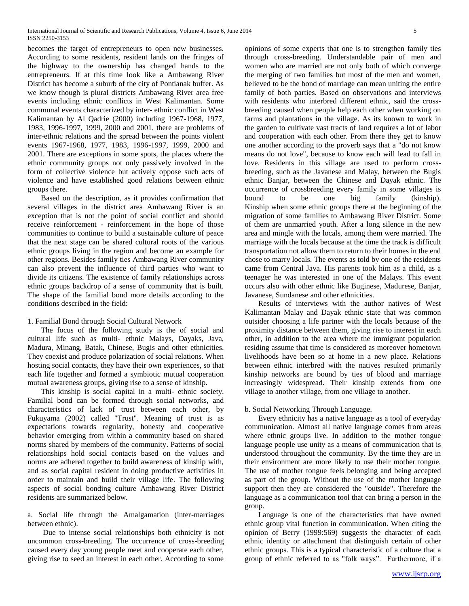becomes the target of entrepreneurs to open new businesses. According to some residents, resident lands on the fringes of the highway to the ownership has changed hands to the entrepreneurs. If at this time look like a Ambawang River District has become a suburb of the city of Pontianak buffer. As we know though is plural districts Ambawang River area free events including ethnic conflicts in West Kalimantan. Some communal events characterized by inter- ethnic conflict in West Kalimantan by Al Qadrie (2000) including 1967-1968, 1977, 1983, 1996-1997, 1999, 2000 and 2001, there are problems of inter-ethnic relations and the spread between the points violent events 1967-1968, 1977, 1983, 1996-1997, 1999, 2000 and 2001. There are exceptions in some spots, the places where the ethnic community groups not only passively involved in the form of collective violence but actively oppose such acts of violence and have established good relations between ethnic groups there.

 Based on the description, as it provides confirmation that several villages in the district area Ambawang River is an exception that is not the point of social conflict and should receive reinforcement - reinforcement in the hope of those communities to continue to build a sustainable culture of peace that the next stage can be shared cultural roots of the various ethnic groups living in the region and become an example for other regions. Besides family ties Ambawang River community can also prevent the influence of third parties who want to divide its citizens. The existence of family relationships across ethnic groups backdrop of a sense of community that is built. The shape of the familial bond more details according to the conditions described in the field:

# 1. Familial Bond through Social Cultural Network

 The focus of the following study is the of social and cultural life such as multi- ethnic Malays, Dayaks, Java, Madura, Minang, Batak, Chinese, Bugis and other ethnicities. They coexist and produce polarization of social relations. When hosting social contacts, they have their own experiences, so that each life together and formed a symbiotic mutual cooperation mutual awareness groups, giving rise to a sense of kinship.

 This kinship is social capital in a multi- ethnic society. Familial bond can be formed through social networks, and characteristics of lack of trust between each other, by Fukuyama (2002) called "Trust". Meaning of trust is as expectations towards regularity, honesty and cooperative behavior emerging from within a community based on shared norms shared by members of the community. Patterns of social relationships hold social contacts based on the values and norms are adhered together to build awareness of kinship with, and as social capital resident in doing productive activities in order to maintain and build their village life. The following aspects of social bonding culture Ambawang River District residents are summarized below.

a. Social life through the Amalgamation (inter-marriages between ethnic).

 Due to intense social relationships both ethnicity is not uncommon cross-breeding. The occurrence of cross-breeding caused every day young people meet and cooperate each other, giving rise to seed an interest in each other. According to some opinions of some experts that one is to strengthen family ties through cross-breeding. Understandable pair of men and women who are married are not only both of which converge the merging of two families but most of the men and women, believed to be the bond of marriage can mean uniting the entire family of both parties. Based on observations and interviews with residents who interbred different ethnic, said the crossbreeding caused when people help each other when working on farms and plantations in the village. As its known to work in the garden to cultivate vast tracts of land requires a lot of labor and cooperation with each other. From there they get to know one another according to the proverb says that a "do not know means do not love", because to know each will lead to fall in love. Residents in this village are used to perform crossbreeding, such as the Javanese and Malay, between the Bugis ethnic Banjar, between the Chinese and Dayak ethnic. The occurrence of crossbreeding every family in some villages is bound to be one big family (kinship). Kinship when some ethnic groups there at the beginning of the migration of some families to Ambawang River District. Some of them are unmarried youth. After a long silence in the new area and mingle with the locals, among them were married. The marriage with the locals because at the time the track is difficult transportation not allow them to return to their homes in the end chose to marry locals. The events as told by one of the residents came from Central Java. His parents took him as a child, as a teenager he was interested in one of the Malays. This event occurs also with other ethnic like Buginese, Madurese, Banjar, Javanese, Sundanese and other ethnicities.

 Results of interviews with the author natives of West Kalimantan Malay and Dayak ethnic state that was common outsider choosing a life partner with the locals because of the proximity distance between them, giving rise to interest in each other, in addition to the area where the immigrant population residing assume that time is considered as moreover hometown livelihoods have been so at home in a new place. Relations between ethnic interbred with the natives resulted primarily kinship networks are bound by ties of blood and marriage increasingly widespread. Their kinship extends from one village to another village, from one village to another.

#### b. Social Networking Through Language.

 Every ethnicity has a native language as a tool of everyday communication. Almost all native language comes from areas where ethnic groups live. In addition to the mother tongue language people use unity as a means of communication that is understood throughout the community. By the time they are in their environment are more likely to use their mother tongue. The use of mother tongue feels belonging and being accepted as part of the group. Without the use of the mother language support then they are considered the "outside". Therefore the language as a communication tool that can bring a person in the group.

 Language is one of the characteristics that have owned ethnic group vital function in communication. When citing the opinion of Berry (1999:569) suggests the character of each ethnic identity or attachment that distinguish certain of other ethnic groups. This is a typical characteristic of a culture that a group of ethnic referred to as "folk ways". Furthermore, if a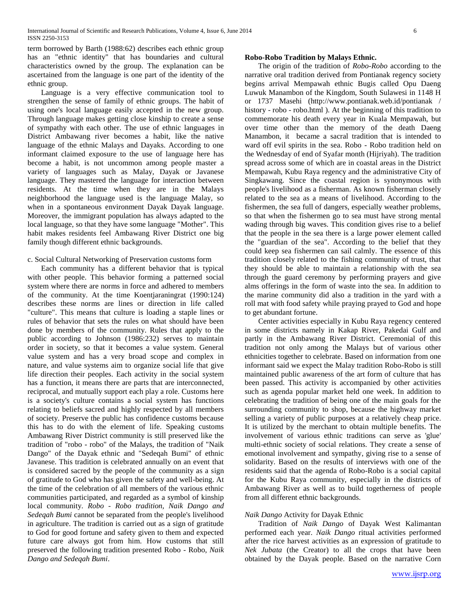term borrowed by Barth (1988:62) describes each ethnic group has an "ethnic identity" that has boundaries and cultural characteristics owned by the group. The explanation can be ascertained from the language is one part of the identity of the ethnic group.

 Language is a very effective communication tool to strengthen the sense of family of ethnic groups. The habit of using one's local language easily accepted in the new group. Through language makes getting close kinship to create a sense of sympathy with each other. The use of ethnic languages in District Ambawang river becomes a habit, like the native language of the ethnic Malays and Dayaks. According to one informant claimed exposure to the use of language here has become a habit, is not uncommon among people master a variety of languages such as Malay, Dayak or Javanese language. They mastered the language for interaction between residents. At the time when they are in the Malays neighborhood the language used is the language Malay, so when in a spontaneous environment Dayak Dayak language. Moreover, the immigrant population has always adapted to the local language, so that they have some language "Mother". This habit makes residents feel Ambawang River District one big family though different ethnic backgrounds.

#### c. Social Cultural Networking of Preservation customs form

 Each community has a different behavior that is typical with other people. This behavior forming a patterned social system where there are norms in force and adhered to members of the community. At the time Koentjaraningrat (1990:124) describes these norms are lines or direction in life called "culture". This means that culture is loading a staple lines or rules of behavior that sets the rules on what should have been done by members of the community. Rules that apply to the public according to Johnson (1986:232) serves to maintain order in society, so that it becomes a value system. General value system and has a very broad scope and complex in nature, and value systems aim to organize social life that give life direction their peoples. Each activity in the social system has a function, it means there are parts that are interconnected, reciprocal, and mutually support each play a role. Customs here is a society's culture contains a social system has functions relating to beliefs sacred and highly respected by all members of society. Preserve the public has confidence customs because this has to do with the element of life. Speaking customs Ambawang River District community is still preserved like the tradition of "robo - robo" of the Malays, the tradition of "Naik Dango" of the Dayak ethnic and "Sedeqah Bumi" of ethnic Javanese. This tradition is celebrated annually on an event that is considered sacred by the people of the community as a sign of gratitude to God who has given the safety and well-being. At the time of the celebration of all members of the various ethnic communities participated, and regarded as a symbol of kinship local community. *Robo - Robo tradition, Naik Dango and Sedeqah Bumi* cannot be separated from the people's livelihood in agriculture. The tradition is carried out as a sign of gratitude to God for good fortune and safety given to them and expected future care always got from him. How customs that still preserved the following tradition presented Robo - Robo, *Naik Dango and Sedeqah Bumi*.

#### **Robo-Robo Tradition by Malays Ethnic.**

 The origin of the tradition of *Robo-Robo* according to the narrative oral tradition derived from Pontianak regency society begins arrival Mempawah ethnic Bugis called Opu Daeng Luwuk Manambon of the Kingdom, South Sulawesi in 1148 H or 1737 Masehi (http://www.pontianak.web.id/pontianak / history - robo - robo.html ). At the beginning of this tradition to commemorate his death every year in Kuala Mempawah, but over time other than the memory of the death Daeng Manambon, it became a sacral tradition that is intended to ward off evil spirits in the sea. Robo - Robo tradition held on the Wednesday of end of Syafar month (Hijriyah). The tradition spread across some of which are in coastal areas in the District Mempawah, Kubu Raya regency and the administrative City of Singkawang. Since the coastal region is synonymous with people's livelihood as a fisherman. As known fisherman closely related to the sea as a means of livelihood. According to the fishermen, the sea full of dangers, especially weather problems, so that when the fishermen go to sea must have strong mental wading through big waves. This condition gives rise to a belief that the people in the sea there is a large power element called the "guardian of the sea". According to the belief that they could keep sea fishermen can sail calmly. The essence of this tradition closely related to the fishing community of trust, that they should be able to maintain a relationship with the sea through the guard ceremony by performing prayers and give alms offerings in the form of waste into the sea. In addition to the marine community did also a tradition in the yard with a roll mat with food safety while praying prayed to God and hope to get abundant fortune.

 Center activities especially in Kubu Raya regency centered in some districts namely in Kakap River, Pakedai Gulf and partly in the Ambawang River District. Ceremonial of this tradition not only among the Malays but of various other ethnicities together to celebrate. Based on information from one informant said we expect the Malay tradition Robo-Robo is still maintained public awareness of the art form of culture that has been passed. This activity is accompanied by other activities such as agenda popular market held one week. In addition to celebrating the tradition of being one of the main goals for the surrounding community to shop, because the highway market selling a variety of public purposes at a relatively cheap price. It is utilized by the merchant to obtain multiple benefits. The involvement of various ethnic traditions can serve as 'glue' multi-ethnic society of social relations. They create a sense of emotional involvement and sympathy, giving rise to a sense of solidarity. Based on the results of interviews with one of the residents said that the agenda of Robo-Robo is a social capital for the Kubu Raya community, especially in the districts of Ambawang River as well as to build togetherness of people from all different ethnic backgrounds.

#### *Naik Dango* Activity for Dayak Ethnic

 Tradition of *Naik Dango* of Dayak West Kalimantan performed each year. *Naik Dango* ritual activities performed after the rice harvest activities as an expression of gratitude to *Nek Jubata* (the Creator) to all the crops that have been obtained by the Dayak people. Based on the narrative Corn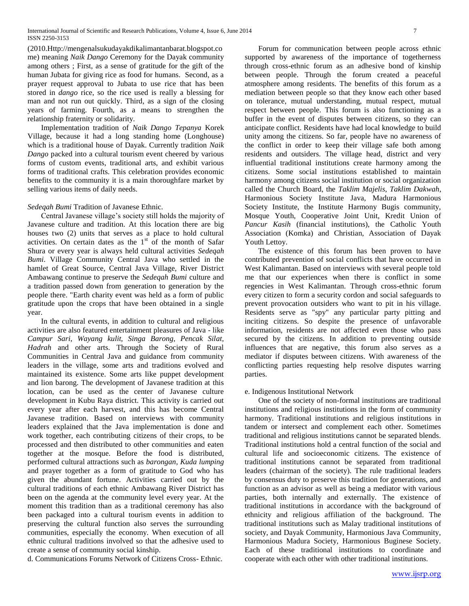(2010.Http://mengenalsukudayakdikalimantanbarat.blogspot.co me) meaning *Naik Dango* Ceremony for the Dayak community among others ; First, as a sense of gratitude for the gift of the human Jubata for giving rice as food for humans. Second, as a prayer request approval to Jubata to use rice that has been stored in *dango* rice, so the rice used is really a blessing for man and not run out quickly. Third, as a sign of the closing years of farming. Fourth, as a means to strengthen the relationship fraternity or solidarity.

 Implementation tradition of *Naik Dango Tepanya* Korek Village, because it had a long standing home (Longhouse) which is a traditional house of Dayak. Currently tradition *Naik Dango* packed into a cultural tourism event cheered by various forms of custom events, traditional arts, and exhibit various forms of traditional crafts. This celebration provides economic benefits to the community it is a main thoroughfare market by selling various items of daily needs.

#### *Sedeqah Bumi* Tradition of Javanese Ethnic.

 Central Javanese village's society still holds the majority of Javanese culture and tradition. At this location there are big houses two (2) units that serves as a place to hold cultural activities. On certain dates as the  $1<sup>st</sup>$  of the month of Safar Shura or every year is always held cultural activities *Sedeqah Bumi*. Village Community Central Java who settled in the hamlet of Great Source, Central Java Village, River District Ambawang continue to preserve the *Sedeqah Bumi* culture and a tradition passed down from generation to generation by the people there. "Earth charity event was held as a form of public gratitude upon the crops that have been obtained in a single year.

 In the cultural events, in addition to cultural and religious activities are also featured entertainment pleasures of Java - like *Campur Sari*, *Wayang kulit, Singa Barong, Pencak Silat, Hadrah* and other arts. Through the Society of Rural Communities in Central Java and guidance from community leaders in the village, some arts and traditions evolved and maintained its existence. Some arts like puppet development and lion barong. The development of Javanese tradition at this location, can be used as the center of Javanese culture development in Kubu Raya district. This activity is carried out every year after each harvest, and this has become Central Javanese tradition. Based on interviews with community leaders explained that the Java implementation is done and work together, each contributing citizens of their crops, to be processed and then distributed to other communities and eaten together at the mosque. Before the food is distributed, performed cultural attractions such as *barongan*, *Kuda lumping* and prayer together as a form of gratitude to God who has given the abundant fortune. Activities carried out by the cultural traditions of each ethnic Ambawang River District has been on the agenda at the community level every year. At the moment this tradition than as a traditional ceremony has also been packaged into a cultural tourism events in addition to preserving the cultural function also serves the surrounding communities, especially the economy. When execution of all ethnic cultural traditions involved so that the adhesive used to create a sense of community social kinship.

d. Communications Forums Network of Citizens Cross- Ethnic.

 Forum for communication between people across ethnic supported by awareness of the importance of togetherness through cross-ethnic forum as an adhesive bond of kinship between people. Through the forum created a peaceful atmosphere among residents. The benefits of this forum as a mediation between people so that they know each other based on tolerance, mutual understanding, mutual respect, mutual respect between people. This forum is also functioning as a buffer in the event of disputes between citizens, so they can anticipate conflict. Residents have had local knowledge to build unity among the citizens. So far, people have no awareness of the conflict in order to keep their village safe both among residents and outsiders. The village head, district and very influential traditional institutions create harmony among the citizens. Some social institutions established to maintain harmony among citizens social institution or social organization called the Church Board, the *Taklim Majelis*, *Taklim Dakwah*, Harmonious Society Institute Java, Madura Harmonious Society Institute, the Institute Harmony Bugis community, Mosque Youth, Cooperative Joint Unit, Kredit Union of *Pancur Kasih* (financial institutions), the Catholic Youth Association (Komka) and Christian, Association of Dayak Youth Lettoy.

 The existence of this forum has been proven to have contributed prevention of social conflicts that have occurred in West Kalimantan. Based on interviews with several people told me that our experiences when there is conflict in some regencies in West Kalimantan. Through cross-ethnic forum every citizen to form a security cordon and social safeguards to prevent provocation outsiders who want to pit in his village. Residents serve as "spy" any particular party pitting and inciting citizens. So despite the presence of unfavorable information, residents are not affected even those who pass secured by the citizens. In addition to preventing outside influences that are negative, this forum also serves as a mediator if disputes between citizens. With awareness of the conflicting parties requesting help resolve disputes warring parties.

# e. Indigenous Institutional Network

 One of the society of non-formal institutions are traditional institutions and religious institutions in the form of community harmony. Traditional institutions and religious institutions in tandem or intersect and complement each other. Sometimes traditional and religious institutions cannot be separated blends. Traditional institutions hold a central function of the social and cultural life and socioeconomic citizens. The existence of traditional institutions cannot be separated from traditional leaders (chairman of the society). The rule traditional leaders by consensus duty to preserve this tradition for generations, and function as an advisor as well as being a mediator with various parties, both internally and externally. The existence of traditional institutions in accordance with the background of ethnicity and religious affiliation of the background. The traditional institutions such as Malay traditional institutions of society, and Dayak Community, Harmonious Java Community, Harmonious Madura Society, Harmonious Buginese Society. Each of these traditional institutions to coordinate and cooperate with each other with other traditional institutions.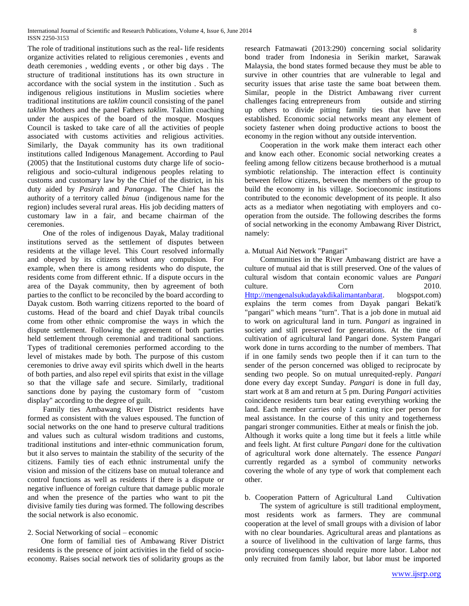The role of traditional institutions such as the real- life residents organize activities related to religious ceremonies , events and death ceremonies , wedding events , or other big days . The structure of traditional institutions has its own structure in accordance with the social system in the institution . Such as indigenous religious institutions in Muslim societies where traditional institutions are *taklim* council consisting of the panel *taklim* Mothers and the panel Fathers *taklim*. Taklim coaching under the auspices of the board of the mosque. Mosques Council is tasked to take care of all the activities of people associated with customs activities and religious activities. Similarly, the Dayak community has its own traditional institutions called Indigenous Management. According to Paul (2005) that the Institutional customs duty charge life of socioreligious and socio-cultural indigenous peoples relating to customs and customary law by the Chief of the district, in his duty aided by *Pasirah* and *Panaraga*. The Chief has the authority of a territory called *binua* (indigenous name for the region) includes several rural areas. His job deciding matters of customary law in a fair, and became chairman of the ceremonies.

 One of the roles of indigenous Dayak, Malay traditional institutions served as the settlement of disputes between residents at the village level. This Court resolved informally and obeyed by its citizens without any compulsion. For example, when there is among residents who do dispute, the residents come from different ethnic. If a dispute occurs in the area of the Dayak community, then by agreement of both parties to the conflict to be reconciled by the board according to Dayak custom. Both warring citizens reported to the board of customs. Head of the board and chief Dayak tribal councils come from other ethnic compromise the ways in which the dispute settlement. Following the agreement of both parties held settlement through ceremonial and traditional sanctions. Types of traditional ceremonies performed according to the level of mistakes made by both. The purpose of this custom ceremonies to drive away evil spirits which dwell in the hearts of both parties, and also repel evil spirits that exist in the village so that the village safe and secure. Similarly, traditional sanctions done by paying the customary form of "custom display" according to the degree of guilt.

 Family ties Ambawang River District residents have formed as consistent with the values espoused. The function of social networks on the one hand to preserve cultural traditions and values such as cultural wisdom traditions and customs, traditional institutions and inter-ethnic communication forum, but it also serves to maintain the stability of the security of the citizens. Family ties of each ethnic instrumental unify the vision and mission of the citizens base on mutual tolerance and control functions as well as residents if there is a dispute or negative influence of foreign culture that damage public morale and when the presence of the parties who want to pit the divisive family ties during was formed. The following describes the social network is also economic.

# 2. Social Networking of social – economic

 One form of familial ties of Ambawang River District residents is the presence of joint activities in the field of socioeconomy. Raises social network ties of solidarity groups as the research Fatmawati (2013:290) concerning social solidarity bond trader from Indonesia in Serikin market, Sarawak Malaysia, the bond states formed because they must be able to survive in other countries that are vulnerable to legal and security issues that arise taste the same boat between them. Similar, people in the District Ambawang river current challenges facing entrepreneurs from outside and stirring up others to divide pitting family ties that have been established. Economic social networks meant any element of society fastener when doing productive actions to boost the economy in the region without any outside intervention.

 Cooperation in the work make them interact each other and know each other. Economic social networking creates a feeling among fellow citizens because brotherhood is a mutual symbiotic relationship. The interaction effect is continuity between fellow citizens, between the members of the group to build the economy in his village. Socioeconomic institutions contributed to the economic development of its people. It also acts as a mediator when negotiating with employers and cooperation from the outside. The following describes the forms of social networking in the economy Ambawang River District, namely:

## a. Mutual Aid Network "Pangari"

 Communities in the River Ambawang district are have a culture of mutual aid that is still preserved. One of the values of cultural wisdom that contain economic values are *Pangari* culture. Corn Corn 2010. [Http://mengenalsukudayakdikalimantanbarat.](http://mengenalsukudayakdikalimantanbarat/) blogspot.com) explains the term comes from Dayak pangari Bekati'k "pangari" which means "turn". That is a job done in mutual aid to work on agricultural land in turn. *Pangari* as ingrained in society and still preserved for generations. At the time of cultivation of agricultural land Pangari done. System Pangari work done in turns according to the number of members. That if in one family sends two people then if it can turn to the sender of the person concerned was obliged to reciprocate by sending two people. So on mutual unrequited-reply. *Pangari* done every day except Sunday. *Pangari* is done in full day, start work at 8 am and return at 5 pm. During *Pangari* activities coincidence residents turn bear eating everything working the land. Each member carries only 1 canting rice per person for meal assistance. In the course of this unity and togetherness pangari stronger communities. Either at meals or finish the job. Although it works quite a long time but it feels a little while and feels light. At first culture *Pangari* done for the cultivation of agricultural work done alternately. The essence *Pangari* currently regarded as a symbol of community networks covering the whole of any type of work that complement each other.

b. Cooperation Pattern of Agricultural Land Cultivation The system of agriculture is still traditional employment, most residents work as farmers. They are communal cooperation at the level of small groups with a division of labor with no clear boundaries. Agricultural areas and plantations as a source of livelihood in the cultivation of large farms, thus providing consequences should require more labor. Labor not only recruited from family labor, but labor must be imported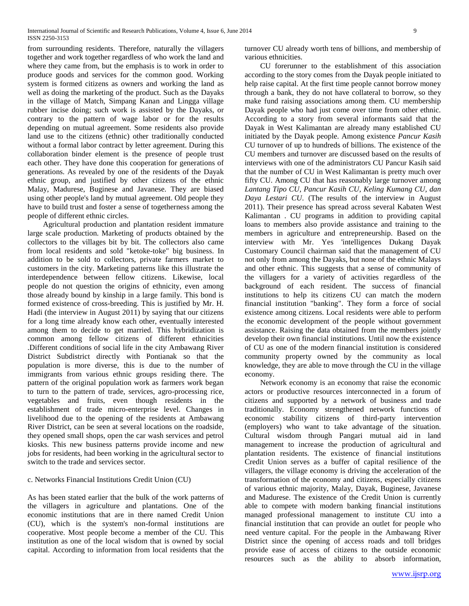from surrounding residents. Therefore, naturally the villagers together and work together regardless of who work the land and where they came from, but the emphasis is to work in order to produce goods and services for the common good. Working system is formed citizens as owners and working the land as well as doing the marketing of the product. Such as the Dayaks in the village of Match, Simpang Kanan and Lingga village rubber incise doing; such work is assisted by the Dayaks, or contrary to the pattern of wage labor or for the results depending on mutual agreement. Some residents also provide land use to the citizens (ethnic) other traditionally conducted without a formal labor contract by letter agreement. During this collaboration binder element is the presence of people trust each other. They have done this cooperation for generations of generations. As revealed by one of the residents of the Dayak ethnic group, and justified by other citizens of the ethnic Malay, Madurese, Buginese and Javanese. They are biased using other people's land by mutual agreement. Old people they have to build trust and foster a sense of togetherness among the people of different ethnic circles.

 Agricultural production and plantation resident immature large scale production. Marketing of products obtained by the collectors to the villages bit by bit. The collectors also came from local residents and sold "ketoke-toke" big business. In addition to be sold to collectors, private farmers market to customers in the city. Marketing patterns like this illustrate the interdependence between fellow citizens. Likewise, local people do not question the origins of ethnicity, even among those already bound by kinship in a large family. This bond is formed existence of cross-breeding. This is justified by Mr. H. Hadi (the interview in August 2011) by saying that our citizens for a long time already know each other, eventually interested among them to decide to get married. This hybridization is common among fellow citizens of different ethnicities .Different conditions of social life in the city Ambawang River District Subdistrict directly with Pontianak so that the population is more diverse, this is due to the number of immigrants from various ethnic groups residing there. The pattern of the original population work as farmers work began to turn to the pattern of trade, services, agro-processing rice, vegetables and fruits, even though residents in the establishment of trade micro-enterprise level. Changes in livelihood due to the opening of the residents at Ambawang River District, can be seen at several locations on the roadside, they opened small shops, open the car wash services and petrol kiosks. This new business patterns provide income and new jobs for residents, had been working in the agricultural sector to switch to the trade and services sector.

# c. Networks Financial Institutions Credit Union (CU)

As has been stated earlier that the bulk of the work patterns of the villagers in agriculture and plantations. One of the economic institutions that are in there named Credit Union (CU), which is the system's non-formal institutions are cooperative. Most people become a member of the CU. This institution as one of the local wisdom that is owned by social capital. According to information from local residents that the turnover CU already worth tens of billions, and membership of various ethnicities.

 CU forerunner to the establishment of this association according to the story comes from the Dayak people initiated to help raise capital. At the first time people cannot borrow money through a bank, they do not have collateral to borrow, so they make fund raising associations among them. CU membership Dayak people who had just come over time from other ethnic. According to a story from several informants said that the Dayak in West Kalimantan are already many established CU initiated by the Dayak people. Among existence *Pancur Kasih* CU turnover of up to hundreds of billions. The existence of the CU members and turnover are discussed based on the results of interviews with one of the administrators CU Pancur Kasih said that the number of CU in West Kalimantan is pretty much over fifty CU. Among CU that has reasonably large turnover among *Lantang Tipo CU, Pancur Kasih CU, Keling Kumang CU, dan Daya Lestari CU*. (The results of the interview in August 2011). Their presence has spread across several Kabaten West Kalimantan . CU programs in addition to providing capital loans to members also provide assistance and training to the members in agriculture and entrepreneurship. Based on the interview with Mr. Yes 'intelligences Dukang Dayak Customary Council chairman said that the management of CU not only from among the Dayaks, but none of the ethnic Malays and other ethnic. This suggests that a sense of community of the villagers for a variety of activities regardless of the background of each resident. The success of financial institutions to help its citizens CU can match the modern financial institution "banking". They form a force of social existence among citizens. Local residents were able to perform the economic development of the people without government assistance. Raising the data obtained from the members jointly develop their own financial institutions. Until now the existence of CU as one of the modern financial institution is considered community property owned by the community as local knowledge, they are able to move through the CU in the village economy.

 Network economy is an economy that raise the economic actors or productive resources interconnected in a forum of citizens and supported by a network of business and trade traditionally. Economy strengthened network functions of economic stability citizens of third-party intervention (employers) who want to take advantage of the situation. Cultural wisdom through Pangari mutual aid in land management to increase the production of agricultural and plantation residents. The existence of financial institutions Credit Union serves as a buffer of capital resilience of the villagers, the village economy is driving the acceleration of the transformation of the economy and citizens, especially citizens of various ethnic majority, Malay, Dayak, Buginese, Javanese and Madurese. The existence of the Credit Union is currently able to compete with modern banking financial institutions managed professional management to institute CU into a financial institution that can provide an outlet for people who need venture capital. For the people in the Ambawang River District since the opening of access roads and toll bridges provide ease of access of citizens to the outside economic resources such as the ability to absorb information,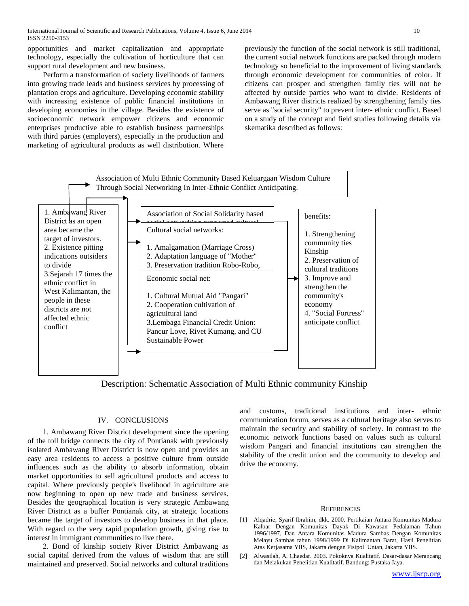opportunities and market capitalization and appropriate technology, especially the cultivation of horticulture that can support rural development and new business.

 Perform a transformation of society livelihoods of farmers into growing trade leads and business services by processing of plantation crops and agriculture. Developing economic stability with increasing existence of public financial institutions in developing economies in the village. Besides the existence of socioeconomic network empower citizens and economic enterprises productive able to establish business partnerships with third parties (employers), especially in the production and marketing of agricultural products as well distribution. Where

previously the function of the social network is still traditional, the current social network functions are packed through modern technology so beneficial to the improvement of living standards through economic development for communities of color. If citizens can prosper and strengthen family ties will not be affected by outside parties who want to divide. Residents of Ambawang River districts realized by strengthening family ties serve as "social security" to prevent inter- ethnic conflict. Based on a study of the concept and field studies following details via skematika described as follows:



Description: Schematic Association of Multi Ethnic community Kinship

# IV. CONCLUSIONS

 1. Ambawang River District development since the opening of the toll bridge connects the city of Pontianak with previously isolated Ambawang River District is now open and provides an easy area residents to access a positive culture from outside influences such as the ability to absorb information, obtain market opportunities to sell agricultural products and access to capital. Where previously people's livelihood in agriculture are now beginning to open up new trade and business services. Besides the geographical location is very strategic Ambawang River District as a buffer Pontianak city, at strategic locations became the target of investors to develop business in that place. With regard to the very rapid population growth, giving rise to interest in immigrant communities to live there.

 2. Bond of kinship society River District Ambawang as social capital derived from the values of wisdom that are still maintained and preserved. Social networks and cultural traditions and customs, traditional institutions and inter- ethnic communication forum, serves as a cultural heritage also serves to maintain the security and stability of society. In contrast to the economic network functions based on values such as cultural wisdom Pangari and financial institutions can strengthen the stability of the credit union and the community to develop and drive the economy.

#### **REFERENCES**

- [1] Alqadrie, Syarif Ibrahim, dkk. 2000. Pertikaian Antara Komunitas Madura Kalbar Dengan Komunitas Dayak Di Kawasan Pedalaman Tahun 1996/1997, Dan Antara Komunitas Madura Sambas Dengan Komunitas Melayu Sambas tahun 1998/1999 Di Kalimantan Barat, Hasil Penelitian Atas Kerjasama YIIS, Jakarta dengan Fisipol Untan, Jakarta YIIS.
- [2] Alwasilah, A. Chaedar. 2003. Pokoknya Kualitatif. Dasar-dasar Merancang dan Melakukan Penelitian Kualitatif. Bandung: Pustaka Jaya.